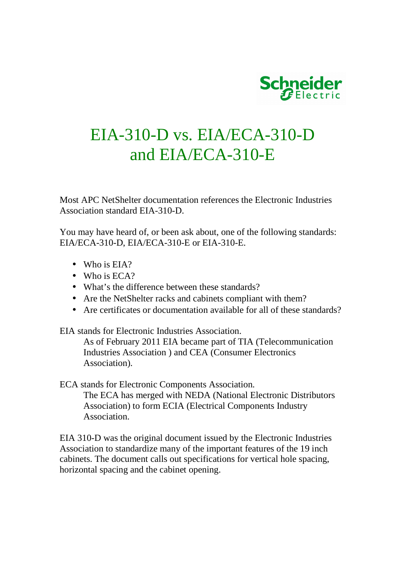

## EIA-310-D vs. EIA/ECA-310-D and EIA/ECA-310-E

Most APC NetShelter documentation references the Electronic Industries Association standard EIA-310-D.

You may have heard of, or been ask about, one of the following standards: EIA/ECA-310-D, EIA/ECA-310-E or EIA-310-E.

- Who is EIA?
- Who is ECA?
- What's the difference between these standards?
- Are the NetShelter racks and cabinets compliant with them?
- Are certificates or documentation available for all of these standards?

EIA stands for Electronic Industries Association.

As of February 2011 EIA became part of TIA (Telecommunication Industries Association ) and CEA (Consumer Electronics Association).

ECA stands for Electronic Components Association.

The ECA has merged with NEDA (National Electronic Distributors Association) to form ECIA (Electrical Components Industry Association.

EIA 310-D was the original document issued by the Electronic Industries Association to standardize many of the important features of the 19 inch cabinets. The document calls out specifications for vertical hole spacing, horizontal spacing and the cabinet opening.